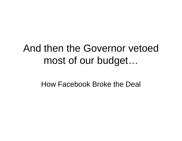# And then the Governor vetoed most of our budget…

How Facebook Broke the Deal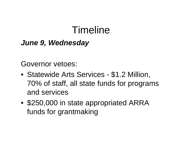# Timeline

# *June 9, Wednesday*

Governor vetoes:

- Statewide Arts Services \$1.2 Million, 70% of staff, all state funds for programs and services
- \$250,000 in state appropriated ARRA funds for grantmaking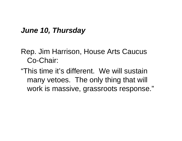### *June 10, Thursday*

Rep. Jim Harrison, House Arts Caucus Co-Chair:

"This time it's different. We will sustain many vetoes. The only thing that will work is massive, grassroots response."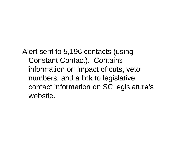Alert sent to 5,196 contacts (using Constant Contact). Contains information on impact of cuts, veto numbers, and a link to legislative contact information on SC legislature's website.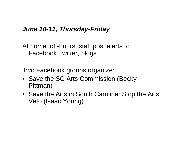#### *June 10-11, Thursday-Friday*

At home, off-hours, staff post alerts to Facebook, twitter, blogs.

Two Facebook groups organize:

- Save the SC Arts Commission (Becky Pittman)
- Save the Arts in South Carolina: Stop the Arts Veto (Isaac Young)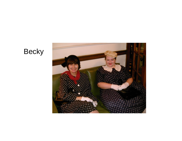# Becky

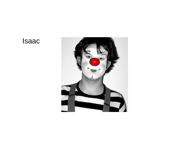### Isaac

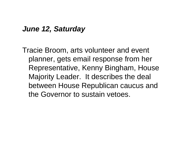### *June 12, Saturday*

Tracie Broom, arts volunteer and event planner, gets email response from her Representative, Kenny Bingham, House Majority Leader. It describes the deal between House Republican caucus and the Governor to sustain vetoes.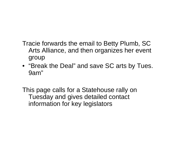Tracie forwards the email to Betty Plumb, SC Arts Alliance, and then organizes her event group

• "Break the Deal" and save SC arts by Tues. 9am"

This page calls for a Statehouse rally on Tuesday and gives detailed contact information for key legislators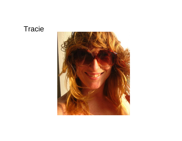# **Tracie**

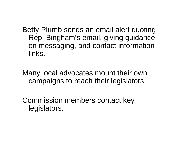Betty Plumb sends an email alert quoting Rep. Bingham's email, giving guidance on messaging, and contact information links.

Many local advocates mount their own campaigns to reach their legislators.

Commission members contact key legislators.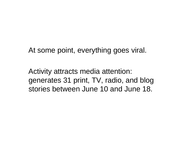# At some point, everything goes viral.

Activity attracts media attention: generates 31 print, TV, radio, and blog stories between June 10 and June 18.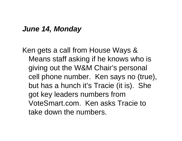#### *June 14, Monday*

Ken gets a call from House Ways & Means staff asking if he knows who is giving out the W&M Chair's personal cell phone number. Ken says no (true), but has a hunch it's Tracie (it is). She got key leaders numbers from VoteSmart.com. Ken asks Tracie to take down the numbers.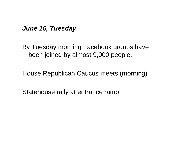#### *June 15, Tuesday*

By Tuesday morning Facebook groups have been joined by almost 9,000 people.

House Republican Caucus meets (morning)

Statehouse rally at entrance ramp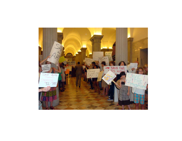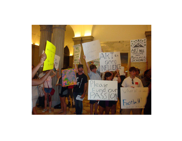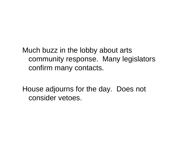Much buzz in the lobby about arts community response. Many legislators confirm many contacts.

House adjourns for the day. Does not consider vetoes.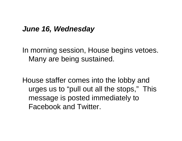# *June 16, Wednesday*

In morning session, House begins vetoes. Many are being sustained.

House staffer comes into the lobby and urges us to "pull out all the stops," This message is posted immediately to Facebook and Twitter.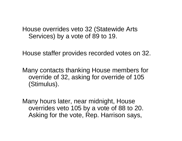House overrides veto 32 (Statewide Arts Services) by a vote of 89 to 19.

House staffer provides recorded votes on 32.

Many contacts thanking House members for override of 32, asking for override of 105 (Stimulus).

Many hours later, near midnight, House overrides veto 105 by a vote of 88 to 20. Asking for the vote, Rep. Harrison says,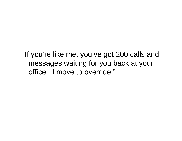"If you're like me, you've got 200 calls and messages waiting for you back at your office. I move to override."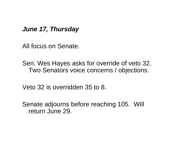*June 17, Thursday*

All focus on Senate.

Sen. Wes Hayes asks for override of veto 32. Two Senators voice concerns / objections.

Veto 32 is overridden 35 to 8.

Senate adjourns before reaching 105. Will return June 29.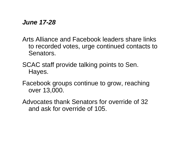#### *June 17-28*

Arts Alliance and Facebook leaders share links to recorded votes, urge continued contacts to Senators.

SCAC staff provide talking points to Sen. Hayes.

Facebook groups continue to grow, reaching over 13,000.

Advocates thank Senators for override of 32 and ask for override of 105.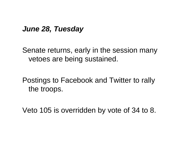#### *June 28, Tuesday*

Senate returns, early in the session many vetoes are being sustained.

Postings to Facebook and Twitter to rally the troops.

Veto 105 is overridden by vote of 34 to 8.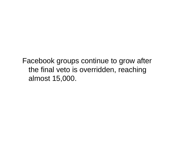Facebook groups continue to grow after the final veto is overridden, reaching almost 15,000.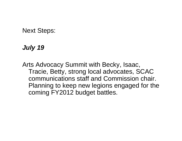Next Steps:

*July 19*

Arts Advocacy Summit with Becky, Isaac, Tracie, Betty, strong local advocates, SCAC communications staff and Commission chair. Planning to keep new legions engaged for the coming FY2012 budget battles.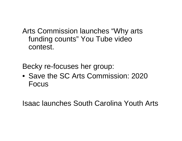Arts Commission launches "Why arts funding counts" You Tube video contest.

Becky re-focuses her group:

• Save the SC Arts Commission: 2020 Focus

Isaac launches South Carolina Youth Arts